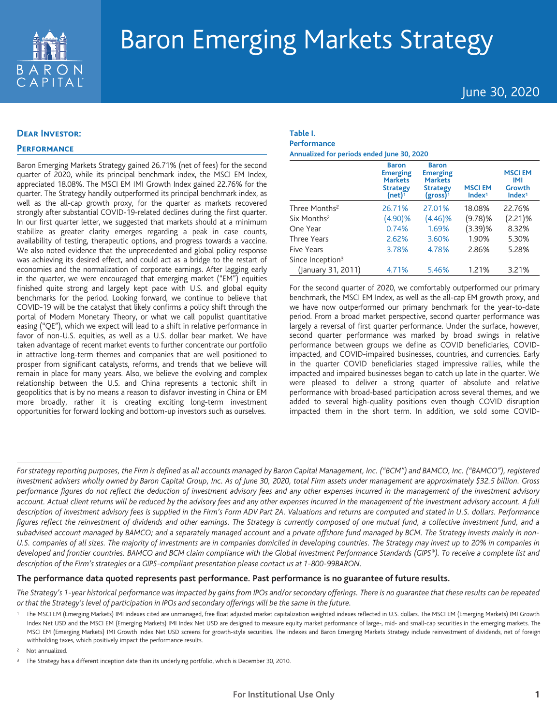

June 30, 2020

## **Dear Investor:**

## **Performance**

Baron Emerging Markets Strategy gained 26.71% (net of fees) for the second quarter of 2020, while its principal benchmark index, the MSCI EM Index, appreciated 18.08%. The MSCI EM IMI Growth Index gained 22.76% for the quarter. The Strategy handily outperformed its principal benchmark index, as well as the all-cap growth proxy, for the quarter as markets recovered strongly after substantial COVID-19-related declines during the first quarter. In our first quarter letter, we suggested that markets should at a minimum stabilize as greater clarity emerges regarding a peak in case counts, availability of testing, therapeutic options, and progress towards a vaccine. We also noted evidence that the unprecedented and global policy response was achieving its desired effect, and could act as a bridge to the restart of economies and the normalization of corporate earnings. After lagging early in the quarter, we were encouraged that emerging market ("EM") equities finished quite strong and largely kept pace with U.S. and global equity benchmarks for the period. Looking forward, we continue to believe that COVID-19 will be the catalyst that likely confirms a policy shift through the portal of Modern Monetary Theory, or what we call populist quantitative easing ("QE"), which we expect will lead to a shift in relative performance in favor of non-U.S. equities, as well as a U.S. dollar bear market. We have taken advantage of recent market events to further concentrate our portfolio in attractive long-term themes and companies that are well positioned to prosper from significant catalysts, reforms, and trends that we believe will remain in place for many years. Also, we believe the evolving and complex relationship between the U.S. and China represents a tectonic shift in geopolitics that is by no means a reason to disfavor investing in China or EM more broadly, rather it is creating exciting long-term investment opportunities for forward looking and bottom-up investors such as ourselves.

## **Table I. Performance**

**Annualized for periods ended June 30, 2020**

|                              | <b>Baron</b><br><b>Emerging</b><br><b>Markets</b><br><b>Strategy</b><br>(net) $1$ | <b>Baron</b><br><b>Emerging</b><br><b>Markets</b><br><b>Strategy</b><br>$(gross)^1$ | <b>MSCIEM</b><br>Index <sup>1</sup> | <b>MSCIEM</b><br>IMI<br>Growth<br>Index <sup>1</sup> |
|------------------------------|-----------------------------------------------------------------------------------|-------------------------------------------------------------------------------------|-------------------------------------|------------------------------------------------------|
| Three Months <sup>2</sup>    | 26.71%                                                                            | 27.01%                                                                              | 18.08%                              | 22.76%                                               |
| Six Months <sup>2</sup>      | (4.90)%                                                                           | (4.46)%                                                                             | $(9.78)$ %                          | $(2.21)\%$                                           |
| One Year                     | 0.74%                                                                             | 1.69%                                                                               | $(3.39)$ %                          | 8.32%                                                |
| Three Years                  | 2.62%                                                                             | 3.60%                                                                               | 1.90%                               | 5.30%                                                |
| Five Years                   | 3.78%                                                                             | 4.78%                                                                               | 2.86%                               | 5.28%                                                |
| Since Inception <sup>3</sup> |                                                                                   |                                                                                     |                                     |                                                      |
| (January 31, 2011)           | 4.71%                                                                             | 5.46%                                                                               | 1.21%                               | 3.21%                                                |

For the second quarter of 2020, we comfortably outperformed our primary benchmark, the MSCI EM Index, as well as the all-cap EM growth proxy, and we have now outperformed our primary benchmark for the year-to-date period. From a broad market perspective, second quarter performance was largely a reversal of first quarter performance. Under the surface, however, second quarter performance was marked by broad swings in relative performance between groups we define as COVID beneficiaries, COVIDimpacted, and COVID-impaired businesses, countries, and currencies. Early in the quarter COVID beneficiaries staged impressive rallies, while the impacted and impaired businesses began to catch up late in the quarter. We were pleased to deliver a strong quarter of absolute and relative performance with broad-based participation across several themes, and we added to several high-quality positions even though COVID disruption impacted them in the short term. In addition, we sold some COVID-

## **The performance data quoted represents past performance. Past performance is no guarantee of future results.**

The Strategy's 1-year historical performance was impacted by gains from IPOs and/or secondary offerings. There is no quarantee that these results can be repeated or that the Strategy's level of participation in IPOs and secondary offerings will be the same in the future.

For strategy reporting purposes, the Firm is defined as all accounts managed by Baron Capital Management, Inc. ("BCM") and BAMCO, Inc. ("BAMCO"), registered investment advisers wholly owned by Baron Capital Group, Inc. As of June 30, 2020, total Firm assets under management are approximately \$32.5 billion. Gross performance figures do not reflect the deduction of investment advisory fees and any other expenses incurred in the management of the investment advisory account. Actual client returns will be reduced by the advisory fees and any other expenses incurred in the management of the investment advisory account. A full description of investment advisory fees is supplied in the Firm's Form ADV Part 2A. Valuations and returns are computed and stated in U.S. dollars. Performance figures reflect the reinvestment of dividends and other earnings. The Strategy is currently composed of one mutual fund, a collective investment fund, and a subadvised account managed by BAMCO; and a separately managed account and a private offshore fund managed by BCM. The Strategy invests mainly in non-U.S. companies of all sizes. The majority of investments are in companies domiciled in developing countries. The Strategy may invest up to 20% in companies in developed and frontier countries. BAMCO and BCM claim compliance with the Global Investment Performance Standards (GIPS®). To receive a complete list and *description of the Firm's strategies or a GIPS-compliant presentation please contact us at 1-800-99BARON.*

<sup>&</sup>lt;sup>1</sup> The MSCI EM (Emerging Markets) IMI indexes cited are unmanaged, free float adjusted market capitalization weighted indexes reflected in U.S. dollars. The MSCI EM (Emerging Markets) IMI Growth Index Net USD and the MSCI EM (Emerging Markets) IMI Index Net USD are designed to measure equity market performance of large-, mid- and small-cap securities in the emerging markets. The MSCI EM (Emerging Markets) IMI Growth Index Net USD screens for growth-style securities. The indexes and Baron Emerging Markets Strategy include reinvestment of dividends, net of foreign withholding taxes, which positively impact the performance results.

Not annualized.

<sup>&</sup>lt;sup>3</sup> The Strategy has a different inception date than its underlying portfolio, which is December 30, 2010.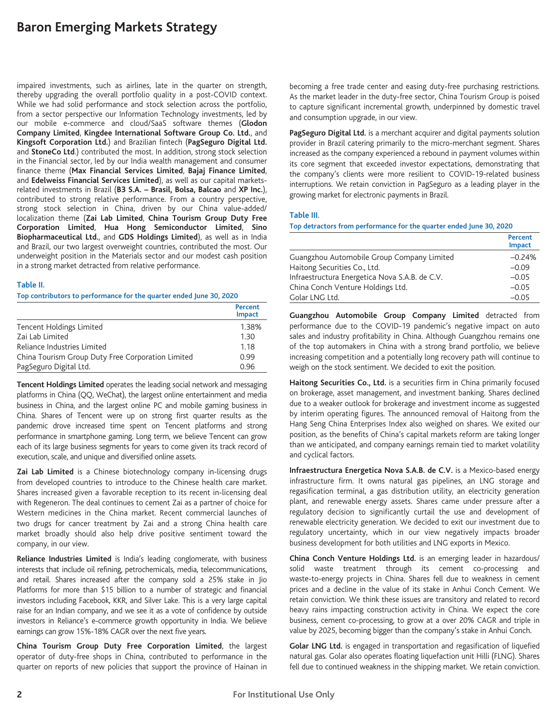impaired investments, such as airlines, late in the quarter on strength, thereby upgrading the overall portfolio quality in a post-COVID context. While we had solid performance and stock selection across the portfolio, from a sector perspective our Information Technology investments, led by our mobile e-commerce and cloud/SaaS software themes (**Glodon Company Limited**, **Kingdee International Software Group Co. Ltd.**, and **Kingsoft Corporation Ltd.**) and Brazilian fintech (**PagSeguro Digital Ltd.** and **StoneCo Ltd**.) contributed the most. In addition, strong stock selection in the Financial sector, led by our India wealth management and consumer finance theme (**Max Financial Services Limited**, **Bajaj Finance Limited**, and **Edelweiss Financial Services Limited**), as well as our capital marketsrelated investments in Brazil (**B3 S.A. – Brasil, Bolsa, Balcao** and **XP Inc.**), contributed to strong relative performance. From a country perspective, strong stock selection in China, driven by our China value-added/ localization theme (**Zai Lab Limited**, **China Tourism Group Duty Free Corporation Limited**, **Hua Hong Semiconductor Limited**, **Sino Biopharmaceutical Ltd.**, and **GDS Holdings Limited**), as well as in India and Brazil, our two largest overweight countries, contributed the most. Our underweight position in the Materials sector and our modest cash position in a strong market detracted from relative performance.

## **Table II.**

**Top contributors to performance for the quarter ended June 30, 2020**

|                                                   | Percent<br><b>Impact</b> |
|---------------------------------------------------|--------------------------|
| Tencent Holdings Limited                          | 1.38%                    |
| Zai Lab Limited                                   | 1.30                     |
| Reliance Industries Limited                       | 1.18                     |
| China Tourism Group Duty Free Corporation Limited | 0.99                     |
| PagSeguro Digital Ltd.                            | 0.96                     |

**Tencent Holdings Limited** operates the leading social network and messaging platforms in China (QQ, WeChat), the largest online entertainment and media business in China, and the largest online PC and mobile gaming business in China. Shares of Tencent were up on strong first quarter results as the pandemic drove increased time spent on Tencent platforms and strong performance in smartphone gaming. Long term, we believe Tencent can grow each of its large business segments for years to come given its track record of execution, scale, and unique and diversified online assets.

**Zai Lab Limited** is a Chinese biotechnology company in-licensing drugs from developed countries to introduce to the Chinese health care market. Shares increased given a favorable reception to its recent in-licensing deal with Regeneron. The deal continues to cement Zai as a partner of choice for Western medicines in the China market. Recent commercial launches of two drugs for cancer treatment by Zai and a strong China health care market broadly should also help drive positive sentiment toward the company, in our view.

**Reliance Industries Limited** is India's leading conglomerate, with business interests that include oil refining, petrochemicals, media, telecommunications, and retail. Shares increased after the company sold a 25% stake in Jio Platforms for more than \$15 billion to a number of strategic and financial investors including Facebook, KKR, and Silver Lake. This is a very large capital raise for an Indian company, and we see it as a vote of confidence by outside investors in Reliance's e-commerce growth opportunity in India. We believe earnings can grow 15%-18% CAGR over the next five years.

**China Tourism Group Duty Free Corporation Limited**, the largest operator of duty-free shops in China, contributed to performance in the quarter on reports of new policies that support the province of Hainan in becoming a free trade center and easing duty-free purchasing restrictions. As the market leader in the duty-free sector, China Tourism Group is poised to capture significant incremental growth, underpinned by domestic travel and consumption upgrade, in our view.

**PagSeguro Digital Ltd.** is a merchant acquirer and digital payments solution provider in Brazil catering primarily to the micro-merchant segment. Shares increased as the company experienced a rebound in payment volumes within its core segment that exceeded investor expectations, demonstrating that the company's clients were more resilient to COVID-19-related business interruptions. We retain conviction in PagSeguro as a leading player in the growing market for electronic payments in Brazil.

#### **Table III.**

#### **Top detractors from performance for the quarter ended June 30, 2020**

|                                                | Percent<br><b>Impact</b> |
|------------------------------------------------|--------------------------|
| Guangzhou Automobile Group Company Limited     | $-0.24%$                 |
| Haitong Securities Co., Ltd.                   | $-0.09$                  |
| Infraestructura Energetica Nova S.A.B. de C.V. | $-0.05$                  |
| China Conch Venture Holdings Ltd.              | $-0.05$                  |
| Golar LNG Ltd.                                 | $-0.05$                  |

**Guangzhou Automobile Group Company Limited** detracted from performance due to the COVID-19 pandemic's negative impact on auto sales and industry profitability in China. Although Guangzhou remains one of the top automakers in China with a strong brand portfolio, we believe increasing competition and a potentially long recovery path will continue to weigh on the stock sentiment. We decided to exit the position.

**Haitong Securities Co., Ltd.** is a securities firm in China primarily focused on brokerage, asset management, and investment banking. Shares declined due to a weaker outlook for brokerage and investment income as suggested by interim operating figures. The announced removal of Haitong from the Hang Seng China Enterprises Index also weighed on shares. We exited our position, as the benefits of China's capital markets reform are taking longer than we anticipated, and company earnings remain tied to market volatility and cyclical factors.

**Infraestructura Energetica Nova S.A.B. de C.V.** is a Mexico-based energy infrastructure firm. It owns natural gas pipelines, an LNG storage and regasification terminal, a gas distribution utility, an electricity generation plant, and renewable energy assets. Shares came under pressure after a regulatory decision to significantly curtail the use and development of renewable electricity generation. We decided to exit our investment due to regulatory uncertainty, which in our view negatively impacts broader business development for both utilities and LNG exports in Mexico.

**China Conch Venture Holdings Ltd.** is an emerging leader in hazardous/ solid waste treatment through its cement co-processing and waste-to-energy projects in China. Shares fell due to weakness in cement prices and a decline in the value of its stake in Anhui Conch Cement. We retain conviction. We think these issues are transitory and related to record heavy rains impacting construction activity in China. We expect the core business, cement co-processing, to grow at a over 20% CAGR and triple in value by 2025, becoming bigger than the company's stake in Anhui Conch.

**Golar LNG Ltd.** is engaged in transportation and regasification of liquefied natural gas. Golar also operates floating liquefaction unit Hilli (FLNG). Shares fell due to continued weakness in the shipping market. We retain conviction.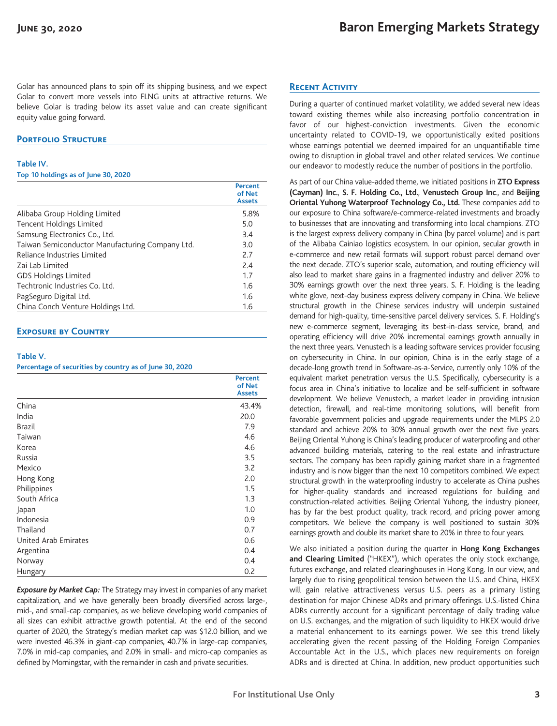Golar has announced plans to spin off its shipping business, and we expect Golar to convert more vessels into FLNG units at attractive returns. We believe Golar is trading below its asset value and can create significant equity value going forward.

## **PORTFOLIO STRUCTURE**

#### **Table IV.**

**Top 10 holdings as of June 30, 2020**

|                                                 | Percent<br>of Net<br><b>Assets</b> |
|-------------------------------------------------|------------------------------------|
| Alibaba Group Holding Limited                   | 5.8%                               |
| Tencent Holdings Limited                        | 5.0                                |
| Samsung Electronics Co., Ltd.                   | 3.4                                |
| Taiwan Semiconductor Manufacturing Company Ltd. | 3.0                                |
| Reliance Industries Limited                     | 2.7                                |
| Zai Lab Limited                                 | 7.4                                |
| <b>GDS Holdings Limited</b>                     | 1.7                                |
| Techtronic Industries Co. Ltd.                  | 1.6                                |
| PagSeguro Digital Ltd.                          | 1.6                                |
| China Conch Venture Holdings Ltd.               | 1.6                                |

## **Exposure by Country**

### **Table V.**

**Percentage of securities by country as of June 30, 2020**

|                      | <b>Percent</b><br>of Net<br><b>Assets</b> |
|----------------------|-------------------------------------------|
| China                | 43.4%                                     |
| India                | 20.0                                      |
| <b>Brazil</b>        | 7.9                                       |
| Taiwan               | 4.6                                       |
| Korea                | 4.6                                       |
| Russia               | 3.5                                       |
| Mexico               | 3.2                                       |
| Hong Kong            | 2.0                                       |
| Philippines          | 1.5                                       |
| South Africa         | 1.3                                       |
| Japan                | 1.0                                       |
| Indonesia            | 0.9                                       |
| Thailand             | 0.7                                       |
| United Arab Emirates | 0.6                                       |
| Argentina            | 0.4                                       |
| Norway               | 0.4                                       |
| Hungary              | 0.2                                       |

*Exposure by Market Cap:* The Strategy may invest in companies of any market capitalization, and we have generally been broadly diversified across large-, mid-, and small-cap companies, as we believe developing world companies of all sizes can exhibit attractive growth potential. At the end of the second quarter of 2020, the Strategy's median market cap was \$12.0 billion, and we were invested 46.3% in giant-cap companies, 40.7% in large-cap companies, 7.0% in mid-cap companies, and 2.0% in small- and micro-cap companies as defined by Morningstar, with the remainder in cash and private securities.

## **Recent Activity**

During a quarter of continued market volatility, we added several new ideas toward existing themes while also increasing portfolio concentration in favor of our highest-conviction investments. Given the economic uncertainty related to COVID-19, we opportunistically exited positions whose earnings potential we deemed impaired for an unquantifiable time owing to disruption in global travel and other related services. We continue our endeavor to modestly reduce the number of positions in the portfolio.

As part of our China value-added theme, we initiated positions in **ZTO Express (Cayman) Inc.**, **S. F. Holding Co., Ltd.**, **Venustech Group Inc**., and **Beijing Oriental Yuhong Waterproof Technology Co., Ltd.** These companies add to our exposure to China software/e-commerce-related investments and broadly to businesses that are innovating and transforming into local champions. ZTO is the largest express delivery company in China (by parcel volume) and is part of the Alibaba Cainiao logistics ecosystem. In our opinion, secular growth in e-commerce and new retail formats will support robust parcel demand over the next decade. ZTO's superior scale, automation, and routing efficiency will also lead to market share gains in a fragmented industry and deliver 20% to 30% earnings growth over the next three years. S. F. Holding is the leading white glove, next-day business express delivery company in China. We believe structural growth in the Chinese services industry will underpin sustained demand for high-quality, time-sensitive parcel delivery services. S. F. Holding's new e-commerce segment, leveraging its best-in-class service, brand, and operating efficiency will drive 20% incremental earnings growth annually in the next three years. Venustech is a leading software services provider focusing on cybersecurity in China. In our opinion, China is in the early stage of a decade-long growth trend in Software-as-a-Service, currently only 10% of the equivalent market penetration versus the U.S. Specifically, cybersecurity is a focus area in China's initiative to localize and be self-sufficient in software development. We believe Venustech, a market leader in providing intrusion detection, firewall, and real-time monitoring solutions, will benefit from favorable government policies and upgrade requirements under the MLPS 2.0 standard and achieve 20% to 30% annual growth over the next five years. Beijing Oriental Yuhong is China's leading producer of waterproofing and other advanced building materials, catering to the real estate and infrastructure sectors. The company has been rapidly gaining market share in a fragmented industry and is now bigger than the next 10 competitors combined. We expect structural growth in the waterproofing industry to accelerate as China pushes for higher-quality standards and increased regulations for building and construction-related activities. Beijing Oriental Yuhong, the industry pioneer, has by far the best product quality, track record, and pricing power among competitors. We believe the company is well positioned to sustain 30% earnings growth and double its market share to 20% in three to four years.

We also initiated a position during the quarter in **Hong Kong Exchanges and Clearing Limited** ("HKEX"), which operates the only stock exchange, futures exchange, and related clearinghouses in Hong Kong. In our view, and largely due to rising geopolitical tension between the U.S. and China, HKEX will gain relative attractiveness versus U.S. peers as a primary listing destination for major Chinese ADRs and primary offerings. U.S.-listed China ADRs currently account for a significant percentage of daily trading value on U.S. exchanges, and the migration of such liquidity to HKEX would drive a material enhancement to its earnings power. We see this trend likely accelerating given the recent passing of the Holding Foreign Companies Accountable Act in the U.S., which places new requirements on foreign ADRs and is directed at China. In addition, new product opportunities such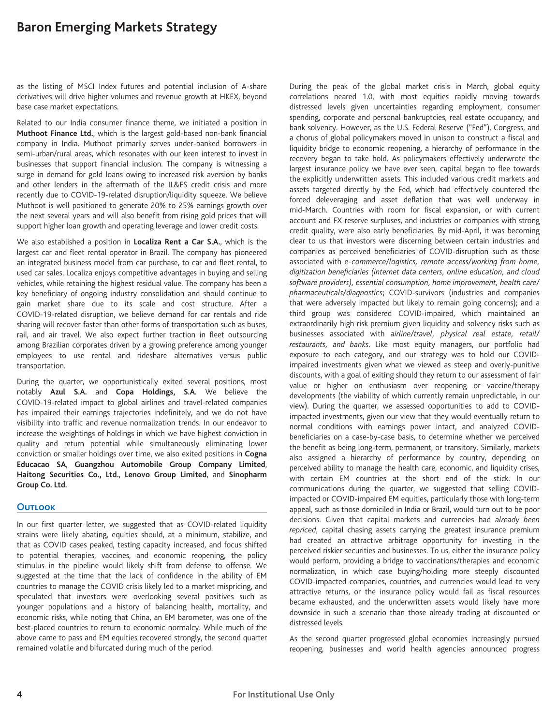as the listing of MSCI Index futures and potential inclusion of A-share derivatives will drive higher volumes and revenue growth at HKEX, beyond base case market expectations.

Related to our India consumer finance theme, we initiated a position in **Muthoot Finance Ltd.**, which is the largest gold-based non-bank financial company in India. Muthoot primarily serves under-banked borrowers in semi-urban/rural areas, which resonates with our keen interest to invest in businesses that support financial inclusion. The company is witnessing a surge in demand for gold loans owing to increased risk aversion by banks and other lenders in the aftermath of the IL&FS credit crisis and more recently due to COVID-19-related disruption/liquidity squeeze. We believe Muthoot is well positioned to generate 20% to 25% earnings growth over the next several years and will also benefit from rising gold prices that will support higher loan growth and operating leverage and lower credit costs.

We also established a position in **Localiza Rent a Car S.A.**, which is the largest car and fleet rental operator in Brazil. The company has pioneered an integrated business model from car purchase, to car and fleet rental, to used car sales. Localiza enjoys competitive advantages in buying and selling vehicles, while retaining the highest residual value. The company has been a key beneficiary of ongoing industry consolidation and should continue to gain market share due to its scale and cost structure. After a COVID-19-related disruption, we believe demand for car rentals and ride sharing will recover faster than other forms of transportation such as buses, rail, and air travel. We also expect further traction in fleet outsourcing among Brazilian corporates driven by a growing preference among younger employees to use rental and rideshare alternatives versus public transportation.

During the quarter, we opportunistically exited several positions, most notably **Azul S.A.** and **Copa Holdings, S.A.** We believe the COVID-19-related impact to global airlines and travel-related companies has impaired their earnings trajectories indefinitely, and we do not have visibility into traffic and revenue normalization trends. In our endeavor to increase the weightings of holdings in which we have highest conviction in quality and return potential while simultaneously eliminating lower conviction or smaller holdings over time, we also exited positions in **Cogna Educacao SA**, **Guangzhou Automobile Group Company Limited**, **Haitong Securities Co., Ltd.**, **Lenovo Group Limited**, and **Sinopharm Group Co. Ltd.**

#### **Outlook**

In our first quarter letter, we suggested that as COVID-related liquidity strains were likely abating, equities should, at a minimum, stabilize, and that as COVID cases peaked, testing capacity increased, and focus shifted to potential therapies, vaccines, and economic reopening, the policy stimulus in the pipeline would likely shift from defense to offense. We suggested at the time that the lack of confidence in the ability of EM countries to manage the COVID crisis likely led to a market mispricing, and speculated that investors were overlooking several positives such as younger populations and a history of balancing health, mortality, and economic risks, while noting that China, an EM barometer, was one of the best-placed countries to return to economic normalcy. While much of the above came to pass and EM equities recovered strongly, the second quarter remained volatile and bifurcated during much of the period.

During the peak of the global market crisis in March, global equity correlations neared 1.0, with most equities rapidly moving towards distressed levels given uncertainties regarding employment, consumer spending, corporate and personal bankruptcies, real estate occupancy, and bank solvency. However, as the U.S. Federal Reserve ("Fed"), Congress, and a chorus of global policymakers moved in unison to construct a fiscal and liquidity bridge to economic reopening, a hierarchy of performance in the recovery began to take hold. As policymakers effectively underwrote the largest insurance policy we have ever seen, capital began to flee towards the explicitly underwritten assets. This included various credit markets and assets targeted directly by the Fed, which had effectively countered the forced deleveraging and asset deflation that was well underway in mid-March. Countries with room for fiscal expansion, or with current account and FX reserve surpluses, and industries or companies with strong credit quality, were also early beneficiaries. By mid-April, it was becoming clear to us that investors were discerning between certain industries and companies as perceived beneficiaries of COVID-disruption such as those associated with *e-commerce/logistics, remote access/working from home, digitization beneficiaries (internet data centers, online education, and cloud software providers), essential consumption, home improvement, health care/ pharmaceuticals/diagnostics*; COVID-survivors (industries and companies that were adversely impacted but likely to remain going concerns); and a third group was considered COVID-impaired, which maintained an extraordinarily high risk premium given liquidity and solvency risks such as businesses associated with *airline/travel, physical real estate, retail/ restaurants, and banks*. Like most equity managers, our portfolio had exposure to each category, and our strategy was to hold our COVIDimpaired investments given what we viewed as steep and overly-punitive discounts, with a goal of exiting should they return to our assessment of fair value or higher on enthusiasm over reopening or vaccine/therapy developments (the viability of which currently remain unpredictable, in our view). During the quarter, we assessed opportunities to add to COVIDimpacted investments, given our view that they would eventually return to normal conditions with earnings power intact, and analyzed COVIDbeneficiaries on a case-by-case basis, to determine whether we perceived the benefit as being long-term, permanent, or transitory. Similarly, markets also assigned a hierarchy of performance by country, depending on perceived ability to manage the health care, economic, and liquidity crises, with certain EM countries at the short end of the stick. In our communications during the quarter, we suggested that selling COVIDimpacted or COVID-impaired EM equities, particularly those with long-term appeal, such as those domiciled in India or Brazil, would turn out to be poor decisions. Given that capital markets and currencies had *already been repriced*, capital chasing assets carrying the greatest insurance premium had created an attractive arbitrage opportunity for investing in the perceived riskier securities and businesses. To us, either the insurance policy would perform, providing a bridge to vaccinations/therapies and economic normalization, in which case buying/holding more steeply discounted COVID-impacted companies, countries, and currencies would lead to very attractive returns, or the insurance policy would fail as fiscal resources became exhausted, and the underwritten assets would likely have more downside in such a scenario than those already trading at discounted or distressed levels.

As the second quarter progressed global economies increasingly pursued reopening, businesses and world health agencies announced progress